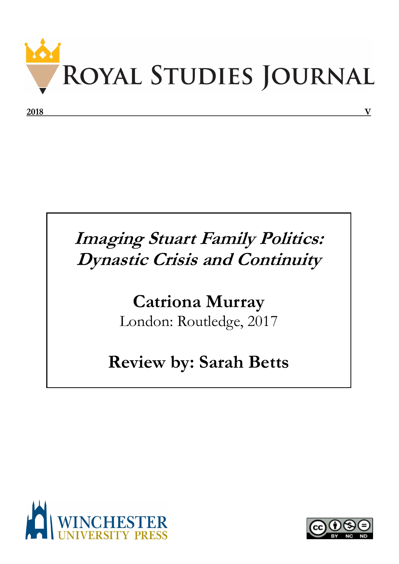

## **Imaging Stuart Family Politics: Dynastic Crisis and Continuity**

## **Catriona Murray** London: Routledge, 2017

## **Review by: Sarah Betts**



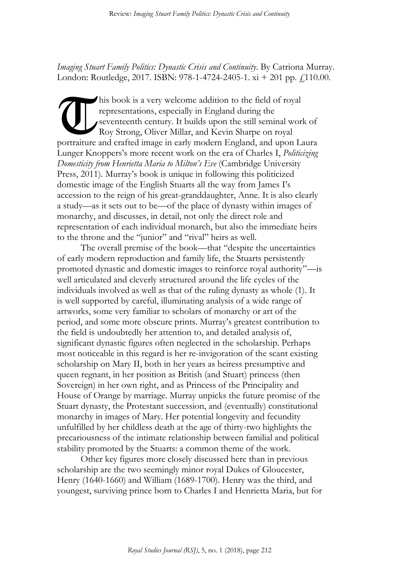*Imaging Stuart Family Politics: Dynastic Crisis and Continuity*. By Catriona Murray. London: Routledge, 2017. ISBN: 978-1-4724-2405-1.  $xi + 201$  pp.  $f$ 110.00.

his book is a very welcome addition to the field of royal representations, especially in England during the seventeenth century. It builds upon the still seminal work of Roy Strong, Oliver Millar, and Kevin Sharpe on royal portraiture and crafted image in early modern England, and upon Laura Lunger Knoppers's more recent work on the era of Charles I, *Politicizing Domesticity from Henrietta Maria to Milton's Eve* (Cambridge University Press, 2011). Murray's book is unique in following this politicized domestic image of the English Stuarts all the way from James I's accession to the reign of his great-granddaughter, Anne. It is also clearly a study—as it sets out to be—of the place of dynasty within images of monarchy, and discusses, in detail, not only the direct role and representation of each individual monarch, but also the immediate heirs to the throne and the "junior" and "rival" heirs as well. **T** 

The overall premise of the book—that "despite the uncertainties of early modern reproduction and family life, the Stuarts persistently promoted dynastic and domestic images to reinforce royal authority"—is well articulated and cleverly structured around the life cycles of the individuals involved as well as that of the ruling dynasty as whole (1). It is well supported by careful, illuminating analysis of a wide range of artworks, some very familiar to scholars of monarchy or art of the period, and some more obscure prints. Murray's greatest contribution to the field is undoubtedly her attention to, and detailed analysis of, significant dynastic figures often neglected in the scholarship. Perhaps most noticeable in this regard is her re-invigoration of the scant existing scholarship on Mary II, both in her years as heiress presumptive and queen regnant, in her position as British (and Stuart) princess (then Sovereign) in her own right, and as Princess of the Principality and House of Orange by marriage. Murray unpicks the future promise of the Stuart dynasty, the Protestant succession, and (eventually) constitutional monarchy in images of Mary. Her potential longevity and fecundity unfulfilled by her childless death at the age of thirty-two highlights the precariousness of the intimate relationship between familial and political stability promoted by the Stuarts: a common theme of the work.

Other key figures more closely discussed here than in previous scholarship are the two seemingly minor royal Dukes of Gloucester, Henry (1640-1660) and William (1689-1700). Henry was the third, and youngest, surviving prince born to Charles I and Henrietta Maria, but for